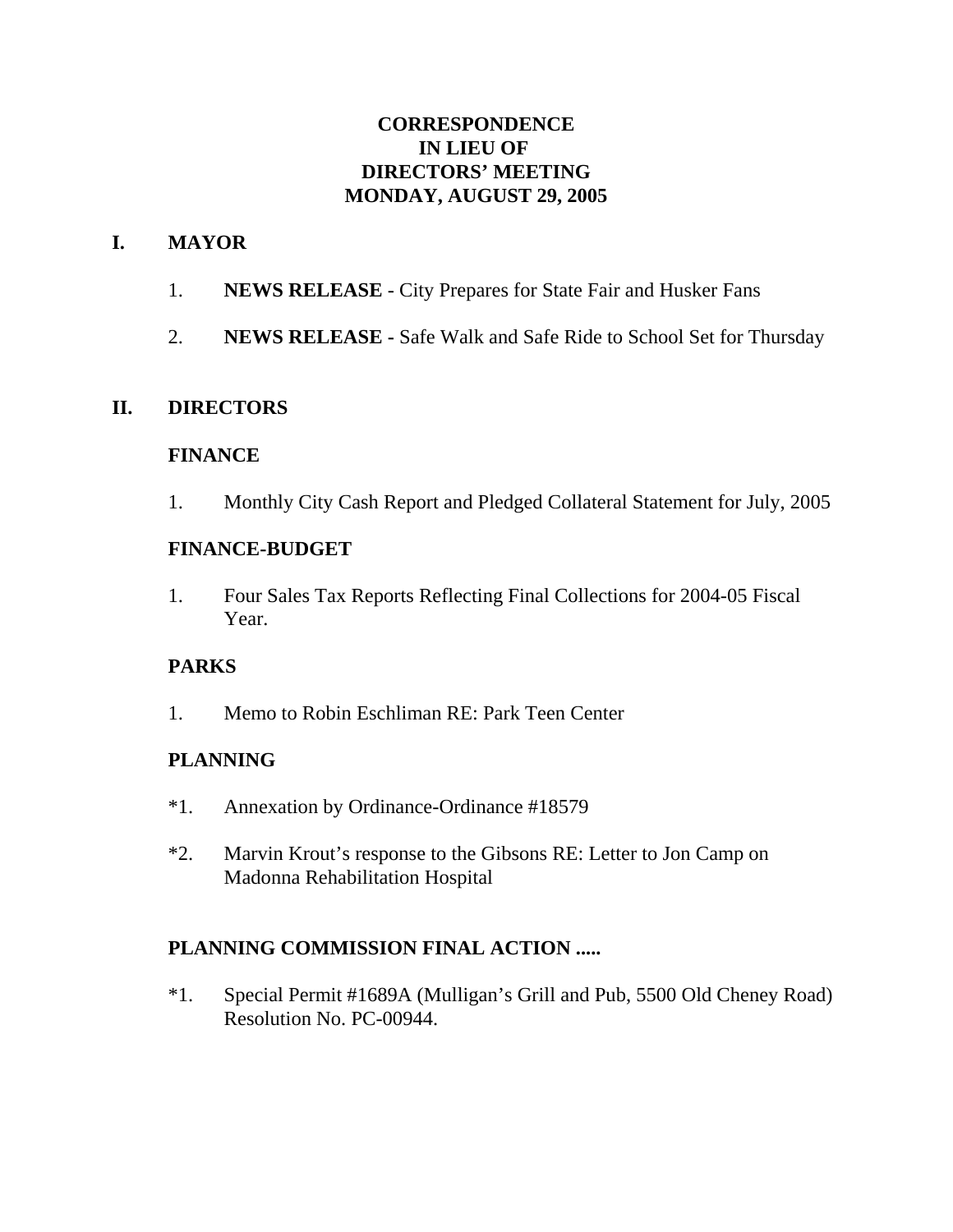## **CORRESPONDENCE IN LIEU OF DIRECTORS' MEETING MONDAY, AUGUST 29, 2005**

## **I. MAYOR**

- 1. **NEWS RELEASE** City Prepares for State Fair and Husker Fans
- 2. **NEWS RELEASE** Safe Walk and Safe Ride to School Set for Thursday

## **II. DIRECTORS**

### **FINANCE**

1. Monthly City Cash Report and Pledged Collateral Statement for July, 2005

### **FINANCE-BUDGET**

1. Four Sales Tax Reports Reflecting Final Collections for 2004-05 Fiscal Year.

## **PARKS**

1. Memo to Robin Eschliman RE: Park Teen Center

## **PLANNING**

- \*1. Annexation by Ordinance-Ordinance #18579
- \*2. Marvin Krout's response to the Gibsons RE: Letter to Jon Camp on Madonna Rehabilitation Hospital

## **PLANNING COMMISSION FINAL ACTION .....**

\*1. Special Permit #1689A (Mulligan's Grill and Pub, 5500 Old Cheney Road) Resolution No. PC-00944.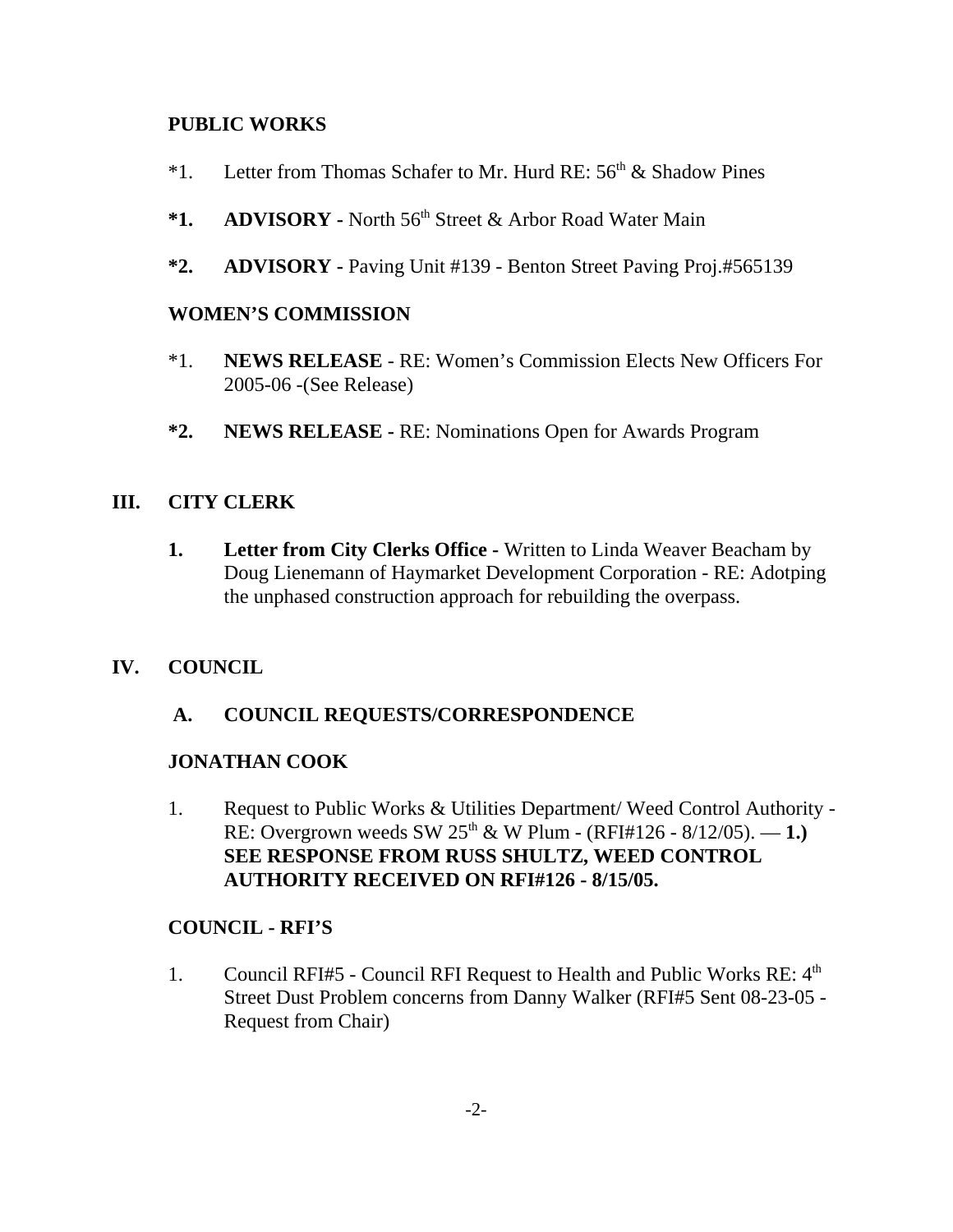### **PUBLIC WORKS**

- <sup>\*1</sup>. Letter from Thomas Schafer to Mr. Hurd RE:  $56<sup>th</sup>$  & Shadow Pines
- \*1. **ADVISORY** North 56<sup>th</sup> Street & Arbor Road Water Main
- **\*2. ADVISORY** Paving Unit #139 Benton Street Paving Proj.#565139

### **WOMEN'S COMMISSION**

- \*1. **NEWS RELEASE**  RE: Women's Commission Elects New Officers For 2005-06 -(See Release)
- **\*2. NEWS RELEASE -** RE: Nominations Open for Awards Program

## **III. CITY CLERK**

**1. Letter from City Clerks Office -** Written to Linda Weaver Beacham by Doug Lienemann of Haymarket Development Corporation - RE: Adotping the unphased construction approach for rebuilding the overpass.

## **IV. COUNCIL**

 **A. COUNCIL REQUESTS/CORRESPONDENCE**

#### **JONATHAN COOK**

1. Request to Public Works & Utilities Department/ Weed Control Authority - RE: Overgrown weeds SW  $25^{th}$  & W Plum - (RFI#126 - 8/12/05). — 1.) **SEE RESPONSE FROM RUSS SHULTZ, WEED CONTROL AUTHORITY RECEIVED ON RFI#126 - 8/15/05.**

## **COUNCIL - RFI'S**

1. Council RFI#5 - Council RFI Request to Health and Public Works RE: 4<sup>th</sup> Street Dust Problem concerns from Danny Walker (RFI#5 Sent 08-23-05 - Request from Chair)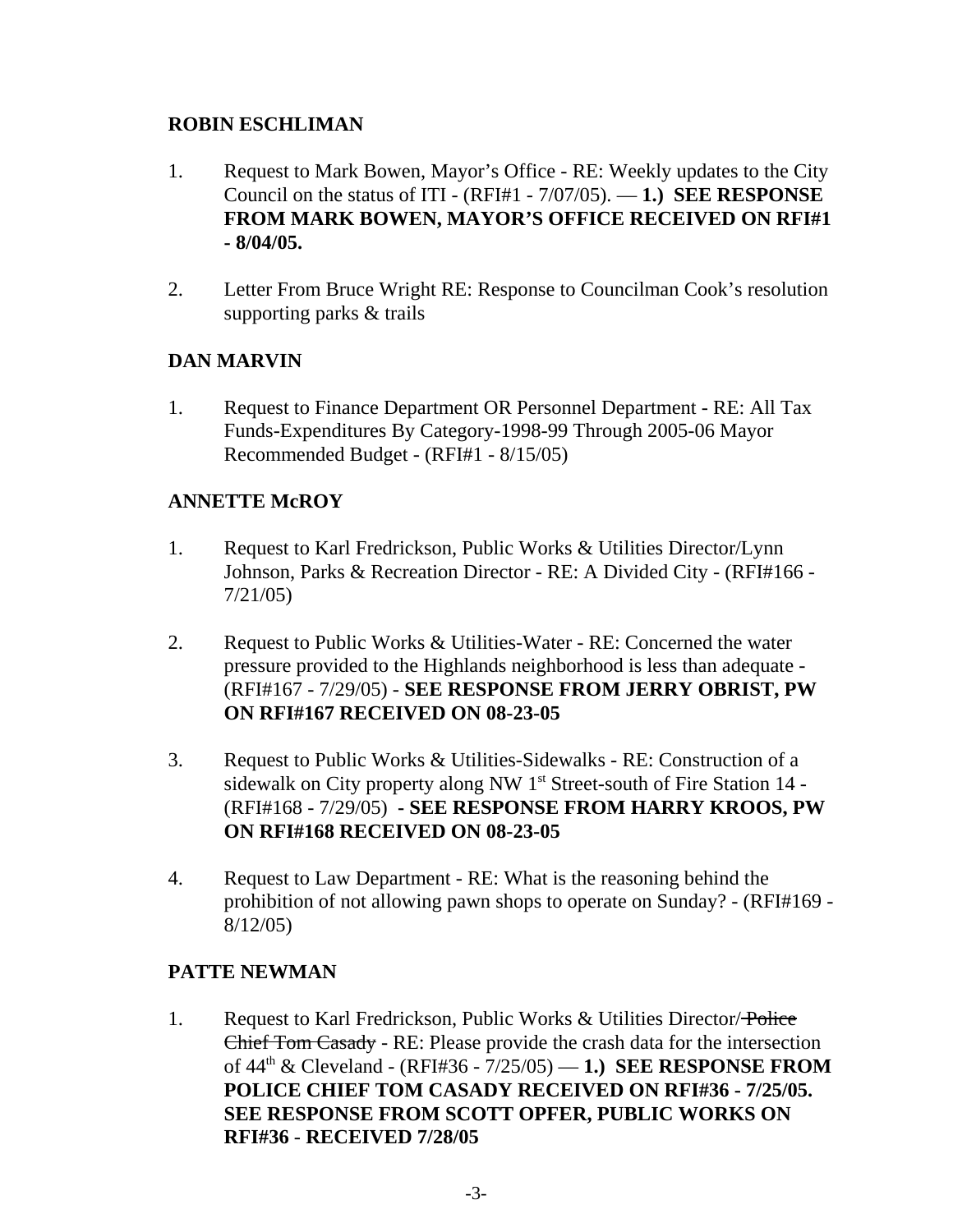## **ROBIN ESCHLIMAN**

- 1. Request to Mark Bowen, Mayor's Office RE: Weekly updates to the City Council on the status of ITI - (RFI#1 - 7/07/05). — **1.) SEE RESPONSE FROM MARK BOWEN, MAYOR'S OFFICE RECEIVED ON RFI#1 - 8/04/05.**
- 2. Letter From Bruce Wright RE: Response to Councilman Cook's resolution supporting parks & trails

# **DAN MARVIN**

1. Request to Finance Department OR Personnel Department - RE: All Tax Funds-Expenditures By Category-1998-99 Through 2005-06 Mayor Recommended Budget - (RFI#1 - 8/15/05)

# **ANNETTE McROY**

- 1. Request to Karl Fredrickson, Public Works & Utilities Director/Lynn Johnson, Parks & Recreation Director - RE: A Divided City - (RFI#166 - 7/21/05)
- 2. Request to Public Works & Utilities-Water RE: Concerned the water pressure provided to the Highlands neighborhood is less than adequate - (RFI#167 - 7/29/05) - **SEE RESPONSE FROM JERRY OBRIST, PW ON RFI#167 RECEIVED ON 08-23-05**
- 3. Request to Public Works & Utilities-Sidewalks RE: Construction of a sidewalk on City property along NW 1<sup>st</sup> Street-south of Fire Station 14 -(RFI#168 - 7/29/05) **- SEE RESPONSE FROM HARRY KROOS, PW ON RFI#168 RECEIVED ON 08-23-05**
- 4. Request to Law Department RE: What is the reasoning behind the prohibition of not allowing pawn shops to operate on Sunday? - (RFI#169 - 8/12/05)

# **PATTE NEWMAN**

1. Request to Karl Fredrickson, Public Works & Utilities Director/Police Chief Tom Casady - RE: Please provide the crash data for the intersection of 44th & Cleveland - (RFI#36 - 7/25/05) — **1.) SEE RESPONSE FROM POLICE CHIEF TOM CASADY RECEIVED ON RFI#36 - 7/25/05. SEE RESPONSE FROM SCOTT OPFER, PUBLIC WORKS ON RFI#36** - **RECEIVED 7/28/05**